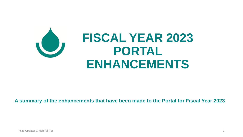

### **A summary of the enhancements that have been made to the Portal for Fiscal Year 2023**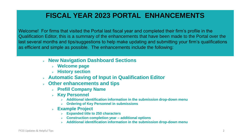### **FISCAL YEAR 2023 PORTAL ENHANCEMENTS**

Welcome! For firms that visited the Portal last fiscal year and completed their firm's profile in the Qualification Editor, this is a summary of the enhancements that have been made to the Portal over the last several months and tips/suggestions to help make updating and submitting your firm's qualifications as efficient and simple as possible. The enhancements include the following:

- ➢ **New Navigation Dashboard Sections**
	- ➢ **Welcome page**
	- ➢ **History section**
- ➢ **Automatic Saving of Input in Qualification Editor**
- ➢ **Other enhancements and tips**
	- ➢ **Prefill Company Name**
	- ➢ **Key Personnel** 
		- ➢ **Additional identification information in the submission drop-down menu**
		- ➢ **Ordering of Key Personnel in submissions**
	- ➢ **Example Project** 
		- ➢ **Expanded title to 250 characters**
		- ➢ **Construction completion year – additional options**
		- ➢ **Additional identification information in the submission drop-down menu**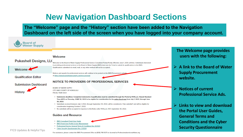# **New Navigation Dashboard Sections**

**The "Welcome" page and the "History" section have been added to the Navigation Dashboard on the left side of the screen when you have logged into your company account.**

![](_page_2_Figure_2.jpeg)

**Security Questionnaire**

- . Professional Service General Terms & Conditions Rev. 9/2020
- 

FY23 Updates & Helpful Tips<br>For assistance, please contact the BWS Procurement Office at (808) 748-5071 or via email at Professionalservices@hbws.org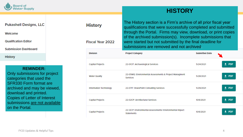![](_page_3_Picture_0.jpeg)

### **HISTORY**

#### **Pukashell Designs, LLC**

Welcome

**Qualification Editor** 

**Submission Dashboard** 

**History** 

#### **REMINDER:**

Only submissions for project categories that used the SFR330 Form format are archived and may be viewed, download and printed. Copies of Letter of Interest submissions are not available on the Portal.

#### The History section is a Firm's archive of all prior fiscal year **History** qualifications that were successfully completed and submitted through the Portal. Firms may view, download, or print copies of the archived submission(s). Incomplete submissions that were started but not submitted by the final deadline for **Fiscal Year 2022** submissions are removed and not archived. **Division Submitted Date Project Category**  $\pm$  PDF **Capital Projects** 5/24/2021 22-01CP: Archaeological Services 22-05WQ: Environmental Assessments & Project Managment  $\pm$  PDF **Water Quality** 5/28/2021 Services  $\pm$  PDF 22-07IT: SharePoint Consulting Services Information Technology 5/29/2021  $+$  PDF Capital Projects 22-02CP: Architectural Services 10/6/2021 22-12CP: Environmental Assessments/ Environmental Impact  $\pm$  PDF **Capital Projects** 10/6/2021 Statements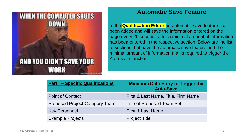![](_page_4_Picture_0.jpeg)

### **Automatic Save Feature**

In the **Qualification Editor** an automatic save feature has been added and will save the information entered on the page every 20 seconds after a minimal amount of information has been entered in the respective section. Below are the list of sections that have the automatic save feature and the minimal amount of information that is required to trigger the Auto-save function.

| <b>Part I - Specific Qualifications</b> | <b>Minimum Data Entry to Trigger the</b><br><b>Auto-Save</b> |
|-----------------------------------------|--------------------------------------------------------------|
| <b>Point of Contact</b>                 | First & Last Name, Title, Firm Name                          |
| <b>Proposed Project Category Team</b>   | <b>Title of Proposed Team Set</b>                            |
| <b>Key Personnel</b>                    | <b>First &amp; Last Name</b>                                 |
| <b>Example Projects</b>                 | <b>Project Title</b>                                         |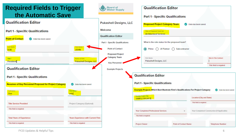![](_page_5_Figure_0.jpeg)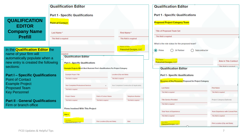![](_page_6_Picture_0.jpeg)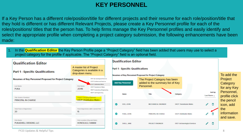### **KEY PERSONNEL**

If a Key Person has a different role/position/title for different projects and their resume for each role/position/title that they hold is different or has different Relevant Projects, please create a Key Personnel profile for each of the roles/positions/ titles that the person has. To help firms manage the Key Personnel profiles and easily identify and select the appropriate profile when completing a project category submission, the following enhancements have been made:

1. In the **Qualification Editor** the Key Person Profile page a "Project Category" field has been added that users may use to select a project category for the profile if applicable. The "Project Category" field is an optional field.

![](_page_7_Figure_3.jpeg)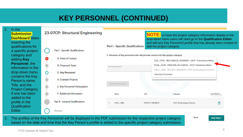# **KEY PERSONNEL (CONTINUED)**

![](_page_8_Figure_1.jpeg)

3. The profiles of the Key Personnel will be displayed in the PDF submission for the respective project category based on the date and time that the Key Person's profile is added to the specific project category submission.

**Next Step >**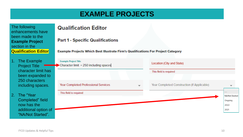# **EXAMPLE PROJECTS**

The following enhancements have been made to the **Example Project**  section in the **Qualification Editor**

- 1. The Example Project Title character limit has been expanded to 250 characters including spaces.
- 2. The "Year Completed" field now has the additional option of "NA/Not Started".

### **Qualification Editor**

**Part 1 - Specific Qualifications** 

Example Projects Which Best Illustrate Firm's Qualifications For Project Category

| Example Project Title<br>Character limit = 250 including spaces | Location (City and State)                   |                |
|-----------------------------------------------------------------|---------------------------------------------|----------------|
|                                                                 | This fleld is required                      |                |
|                                                                 |                                             |                |
| Year Completed Professional Services                            | Year Completed Construction (If Applicable) |                |
| This field is required                                          |                                             |                |
|                                                                 |                                             | NA/Not Started |
|                                                                 |                                             | Ongoing        |
|                                                                 |                                             | 2022           |
|                                                                 |                                             | 2021           |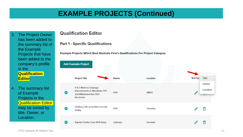# **EXAMPLE PROJECTS (Continued)**

- 3. The Project Owner has been added to the summary list of the Example Projects that have been added to the company's profile in the **Qualification Editor.**
- 4. The summary list of Example Projects in the **Qualification Editor** may be sorted by title, Owner, or Location.

### **Qualification Editor**

#### **Part 1 - Specific Qualifications**

**Example Projects Which Best Illustrate Firm's Qualifications For Project Category** 

![](_page_10_Figure_6.jpeg)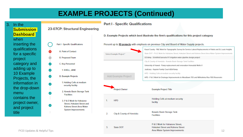# **EXAMPLE PROJECTS (Continued)**

![](_page_11_Figure_1.jpeg)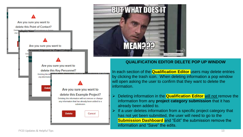![](_page_12_Picture_0.jpeg)

![](_page_12_Picture_1.jpeg)

#### **QUALIFICATION EDITOR DELETE POP UP WINDOW**

In each section of the **Qualification Editor** users may delete entries by clicking the trash icon. When deleting information a pop window will open asking the user to confirm that they want to delete the information.

- ➢ Deleting information in the **Qualification Editor** will not remove the information from any **project category submission** that it has already been added to.
- $\triangleright$  If a user deletes information from a specific project category that has not yet been submitted, the user will need to go to the **Submission Dashboard** and "Edit" the submission remove the information and "Save" the edits.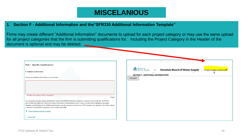### **MISCELANIOUS**

#### **1. Section F - Additional Information and the"SFR330 Additional Information Template"**

Firms may create different "Additional Information" documents to upload for each project category or may use the same upload for all project categories that the firm is submitting qualifications for. Including the Project Category in the Header of the document is optional and may be deleted.

| <b>Part I - Specific Qualifications</b><br><b>F. Additional Information</b>                                                                                                                                                                                                                                                                                                                                                                                                                                                                                                                                             | <b>Board of</b><br>Water Supply<br>Honolulu-Board-of-Water-Supply + Project-Category-(Optional)<br>$\rightarrow$ |
|-------------------------------------------------------------------------------------------------------------------------------------------------------------------------------------------------------------------------------------------------------------------------------------------------------------------------------------------------------------------------------------------------------------------------------------------------------------------------------------------------------------------------------------------------------------------------------------------------------------------------|------------------------------------------------------------------------------------------------------------------|
| Provide any additional information at your discretion.                                                                                                                                                                                                                                                                                                                                                                                                                                                                                                                                                                  | SECTION-F--- ADDITIONAL-INFORMATIONS<br>Header                                                                   |
| This field is only required if a PDF is not uploaded.<br>0/1500<br>For each project category being submitted that requires the SFR330 Form to be completed, companies must include the "SECTION F:<br>ADDITIONAL INFORMATION" listed in the Notice to Providers of Professional Services. Please use the SFR330 Additional Information<br>Template provided below for the Additional Information, save the document, convert it to a PDF document, and upload it to the Portal. Upload<br>a maximum of ten (10) PDF documents, each no larger than 15MB.<br>SFR330 Additional Information Template<br><b>Upload PDF</b> |                                                                                                                  |